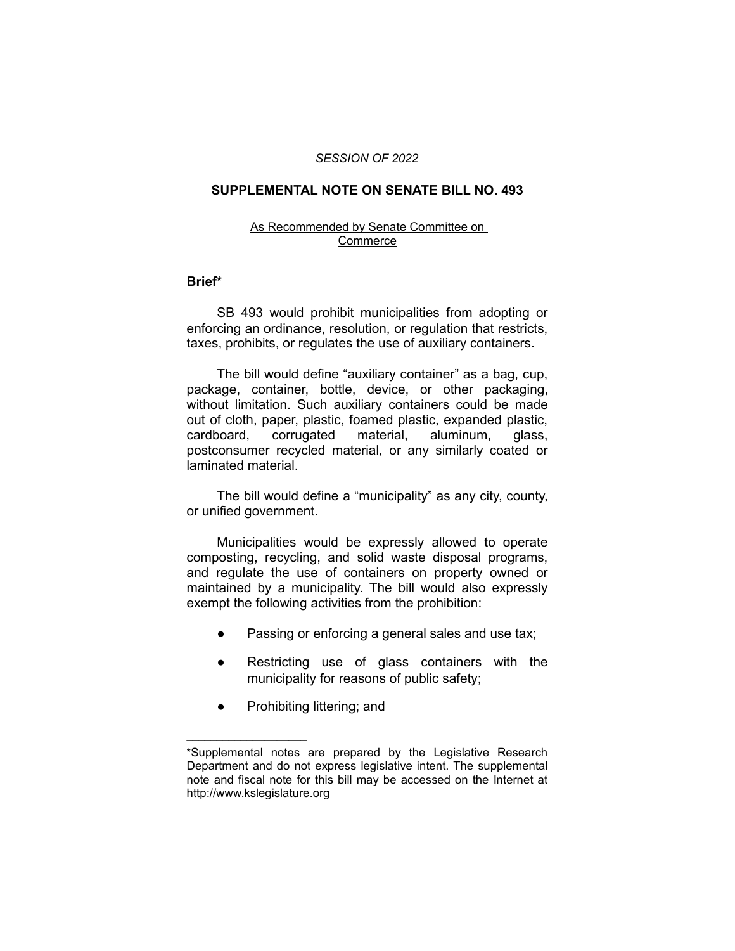#### *SESSION OF 2022*

## **SUPPLEMENTAL NOTE ON SENATE BILL NO. 493**

### As Recommended by Senate Committee on Commerce

#### **Brief\***

SB 493 would prohibit municipalities from adopting or enforcing an ordinance, resolution, or regulation that restricts, taxes, prohibits, or regulates the use of auxiliary containers.

The bill would define "auxiliary container" as a bag, cup, package, container, bottle, device, or other packaging, without limitation. Such auxiliary containers could be made out of cloth, paper, plastic, foamed plastic, expanded plastic, cardboard, corrugated material, aluminum, glass, postconsumer recycled material, or any similarly coated or laminated material.

The bill would define a "municipality" as any city, county, or unified government.

Municipalities would be expressly allowed to operate composting, recycling, and solid waste disposal programs, and regulate the use of containers on property owned or maintained by a municipality. The bill would also expressly exempt the following activities from the prohibition:

- Passing or enforcing a general sales and use tax;
- Restricting use of glass containers with the municipality for reasons of public safety;
- Prohibiting littering; and

 $\overline{\phantom{a}}$  , where  $\overline{\phantom{a}}$  , where  $\overline{\phantom{a}}$ 

<sup>\*</sup>Supplemental notes are prepared by the Legislative Research Department and do not express legislative intent. The supplemental note and fiscal note for this bill may be accessed on the Internet at http://www.kslegislature.org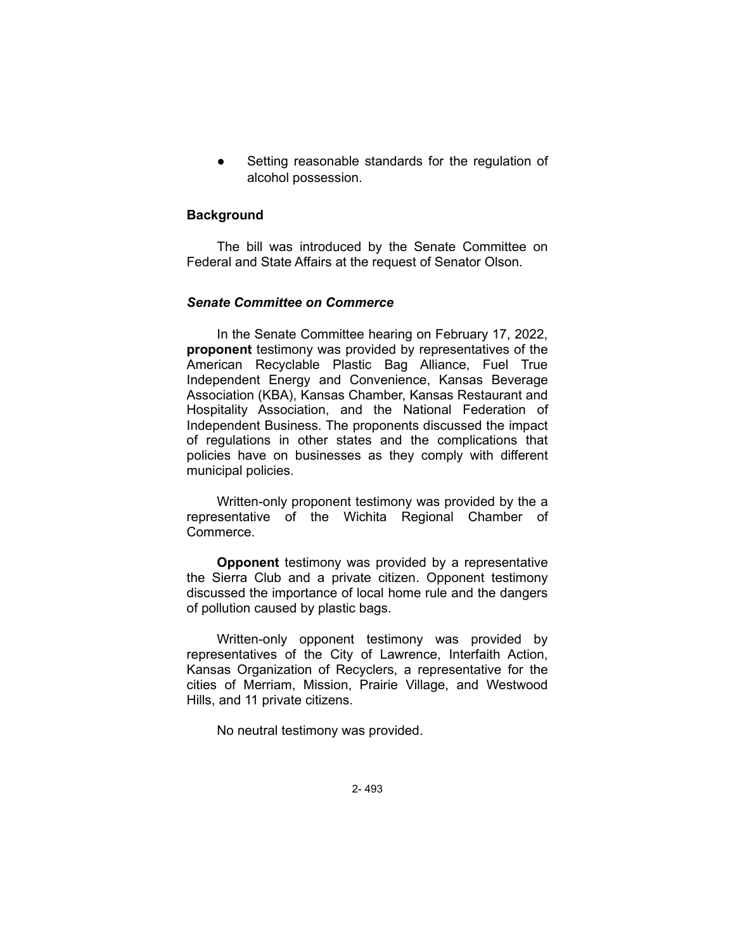Setting reasonable standards for the regulation of alcohol possession.

## **Background**

The bill was introduced by the Senate Committee on Federal and State Affairs at the request of Senator Olson.

## *Senate Committee on Commerce*

In the Senate Committee hearing on February 17, 2022, **proponent** testimony was provided by representatives of the American Recyclable Plastic Bag Alliance, Fuel True Independent Energy and Convenience, Kansas Beverage Association (KBA), Kansas Chamber, Kansas Restaurant and Hospitality Association, and the National Federation of Independent Business. The proponents discussed the impact of regulations in other states and the complications that policies have on businesses as they comply with different municipal policies.

Written-only proponent testimony was provided by the a representative of the Wichita Regional Chamber of Commerce.

**Opponent** testimony was provided by a representative the Sierra Club and a private citizen. Opponent testimony discussed the importance of local home rule and the dangers of pollution caused by plastic bags.

Written-only opponent testimony was provided by representatives of the City of Lawrence, Interfaith Action, Kansas Organization of Recyclers, a representative for the cities of Merriam, Mission, Prairie Village, and Westwood Hills, and 11 private citizens.

No neutral testimony was provided.